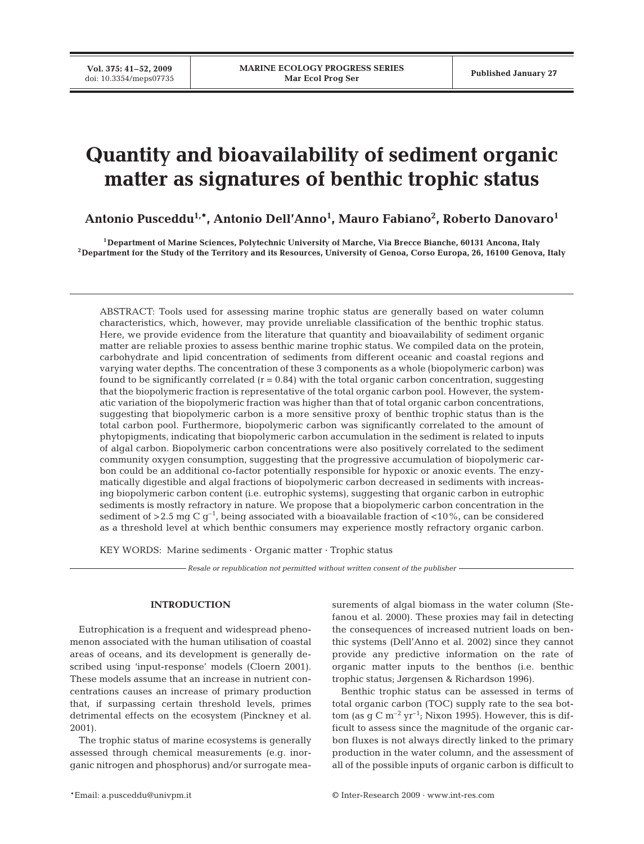**Vol. 375: 41–52, 2009**

# **Quantity and bioavailability of sediment organic matter as signatures of benthic trophic status**

**Antonio Pusceddu1,\*, Antonio Dell'Anno1 , Mauro Fabiano2 , Roberto Danovaro1**

**1Department of Marine Sciences, Polytechnic University of Marche, Via Brecce Bianche, 60131 Ancona, Italy 2Department for the Study of the Territory and its Resources, University of Genoa, Corso Europa, 26, 16100 Genova, Italy**

ABSTRACT: Tools used for assessing marine trophic status are generally based on water column characteristics, which, however, may provide unreliable classification of the benthic trophic status. Here, we provide evidence from the literature that quantity and bioavailability of sediment organic matter are reliable proxies to assess benthic marine trophic status. We compiled data on the protein, carbohydrate and lipid concentration of sediments from different oceanic and coastal regions and varying water depths. The concentration of these 3 components as a whole (biopolymeric carbon) was found to be significantly correlated  $(r = 0.84)$  with the total organic carbon concentration, suggesting that the biopolymeric fraction is representative of the total organic carbon pool. However, the systematic variation of the biopolymeric fraction was higher than that of total organic carbon concentrations, suggesting that biopolymeric carbon is a more sensitive proxy of benthic trophic status than is the total carbon pool. Furthermore, biopolymeric carbon was significantly correlated to the amount of phytopigments, indicating that biopolymeric carbon accumulation in the sediment is related to inputs of algal carbon. Biopolymeric carbon concentrations were also positively correlated to the sediment community oxygen consumption, suggesting that the progressive accumulation of biopolymeric carbon could be an additional co-factor potentially responsible for hypoxic or anoxic events. The enzymatically digestible and algal fractions of biopolymeric carbon decreased in sediments with increasing biopolymeric carbon content (i.e. eutrophic systems), suggesting that organic carbon in eutrophic sediments is mostly refractory in nature. We propose that a biopolymeric carbon concentration in the sediment of  $>$  2.5 mg C g<sup>-1</sup>, being associated with a bioavailable fraction of <10%, can be considered as a threshold level at which benthic consumers may experience mostly refractory organic carbon.

KEY WORDS: Marine sediments · Organic matter · Trophic status

*Resale or republication not permitted without written consent of the publisher*

## **INTRODUCTION**

Eutrophication is a frequent and widespread phenomenon associated with the human utilisation of coastal areas of oceans, and its development is generally described using 'input-response' models (Cloern 2001). These models assume that an increase in nutrient concentrations causes an increase of primary production that, if surpassing certain threshold levels, primes detrimental effects on the ecosystem (Pinckney et al. 2001).

The trophic status of marine ecosystems is generally assessed through chemical measurements (e.g. inorganic nitrogen and phosphorus) and/or surrogate measurements of algal biomass in the water column (Stefanou et al. 2000). These proxies may fail in detecting the consequences of increased nutrient loads on benthic systems (Dell'Anno et al. 2002) since they cannot provide any predictive information on the rate of organic matter inputs to the benthos (i.e. benthic trophic status; Jørgensen & Richardson 1996).

Benthic trophic status can be assessed in terms of total organic carbon (TOC) supply rate to the sea bottom (as  $g \text{ C m}^{-2}$  yr<sup>-1</sup>; Nixon 1995). However, this is difficult to assess since the magnitude of the organic carbon fluxes is not always directly linked to the primary production in the water column, and the assessment of all of the possible inputs of organic carbon is difficult to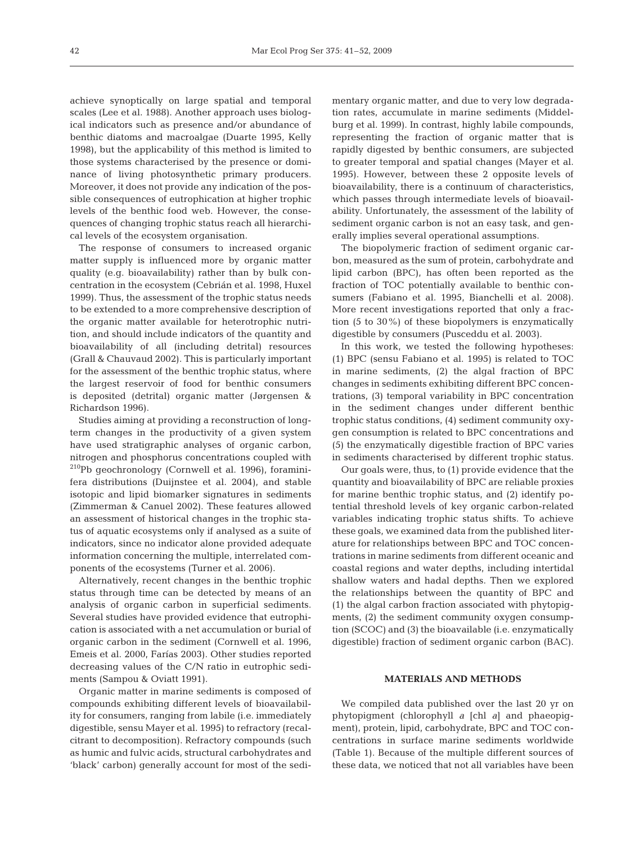achieve synoptically on large spatial and temporal scales (Lee et al. 1988). Another approach uses biological indicators such as presence and/or abundance of benthic diatoms and macroalgae (Duarte 1995, Kelly 1998), but the applicability of this method is limited to those systems characterised by the presence or dominance of living photosynthetic primary producers. Moreover, it does not provide any indication of the possible consequences of eutrophication at higher trophic levels of the benthic food web. However, the consequences of changing trophic status reach all hierarchical levels of the ecosystem organisation.

The response of consumers to increased organic matter supply is influenced more by organic matter quality (e.g. bioavailability) rather than by bulk concentration in the ecosystem (Cebrián et al. 1998, Huxel 1999). Thus, the assessment of the trophic status needs to be extended to a more comprehensive description of the organic matter available for heterotrophic nutrition, and should include indicators of the quantity and bioavailability of all (including detrital) resources (Grall & Chauvaud 2002). This is particularly important for the assessment of the benthic trophic status, where the largest reservoir of food for benthic consumers is deposited (detrital) organic matter (Jørgensen & Richardson 1996).

Studies aiming at providing a reconstruction of longterm changes in the productivity of a given system have used stratigraphic analyses of organic carbon, nitrogen and phosphorus concentrations coupled with  $210Pb$  geochronology (Cornwell et al. 1996), foraminifera distributions (Duijnstee et al. 2004), and stable isotopic and lipid biomarker signatures in sediments (Zimmerman & Canuel 2002). These features allowed an assessment of historical changes in the trophic status of aquatic ecosystems only if analysed as a suite of indicators, since no indicator alone provided adequate information concerning the multiple, interrelated components of the ecosystems (Turner et al. 2006).

Alternatively, recent changes in the benthic trophic status through time can be detected by means of an analysis of organic carbon in superficial sediments. Several studies have provided evidence that eutrophication is associated with a net accumulation or burial of organic carbon in the sediment (Cornwell et al. 1996, Emeis et al. 2000, Farías 2003). Other studies reported decreasing values of the C/N ratio in eutrophic sediments (Sampou & Oviatt 1991).

Organic matter in marine sediments is composed of compounds exhibiting different levels of bioavailability for consumers, ranging from labile (i.e. immediately digestible, sensu Mayer et al. 1995) to refractory (recalcitrant to decomposition). Refractory compounds (such as humic and fulvic acids, structural carbohydrates and 'black' carbon) generally account for most of the sedimentary organic matter, and due to very low degradation rates, accumulate in marine sediments (Middelburg et al. 1999). In contrast, highly labile compounds, representing the fraction of organic matter that is rapidly digested by benthic consumers, are subjected to greater temporal and spatial changes (Mayer et al. 1995). However, between these 2 opposite levels of bioavailability, there is a continuum of characteristics, which passes through intermediate levels of bioavailability. Unfortunately, the assessment of the lability of sediment organic carbon is not an easy task, and generally implies several operational assumptions.

The biopolymeric fraction of sediment organic carbon, measured as the sum of protein, carbohydrate and lipid carbon (BPC), has often been reported as the fraction of TOC potentially available to benthic consumers (Fabiano et al. 1995, Bianchelli et al. 2008). More recent investigations reported that only a fraction (5 to 30%) of these biopolymers is enzymatically digestible by consumers (Pusceddu et al. 2003).

In this work, we tested the following hypotheses: (1) BPC (sensu Fabiano et al. 1995) is related to TOC in marine sediments, (2) the algal fraction of BPC changes in sediments exhibiting different BPC concentrations, (3) temporal variability in BPC concentration in the sediment changes under different benthic trophic status conditions, (4) sediment community oxygen consumption is related to BPC concentrations and (5) the enzymatically digestible fraction of BPC varies in sediments characterised by different trophic status.

Our goals were, thus, to (1) provide evidence that the quantity and bioavailability of BPC are reliable proxies for marine benthic trophic status, and (2) identify potential threshold levels of key organic carbon-related variables indicating trophic status shifts. To achieve these goals, we examined data from the published literature for relationships between BPC and TOC concentrations in marine sediments from different oceanic and coastal regions and water depths, including intertidal shallow waters and hadal depths. Then we explored the relationships between the quantity of BPC and (1) the algal carbon fraction associated with phytopigments, (2) the sediment community oxygen consumption (SCOC) and (3) the bioavailable (i.e. enzymatically digestible) fraction of sediment organic carbon (BAC).

#### **MATERIALS AND METHODS**

We compiled data published over the last 20 yr on phytopigment (chlorophyll *a* [chl *a*] and phaeopigment), protein, lipid, carbohydrate, BPC and TOC concentrations in surface marine sediments worldwide (Table 1). Because of the multiple different sources of these data, we noticed that not all variables have been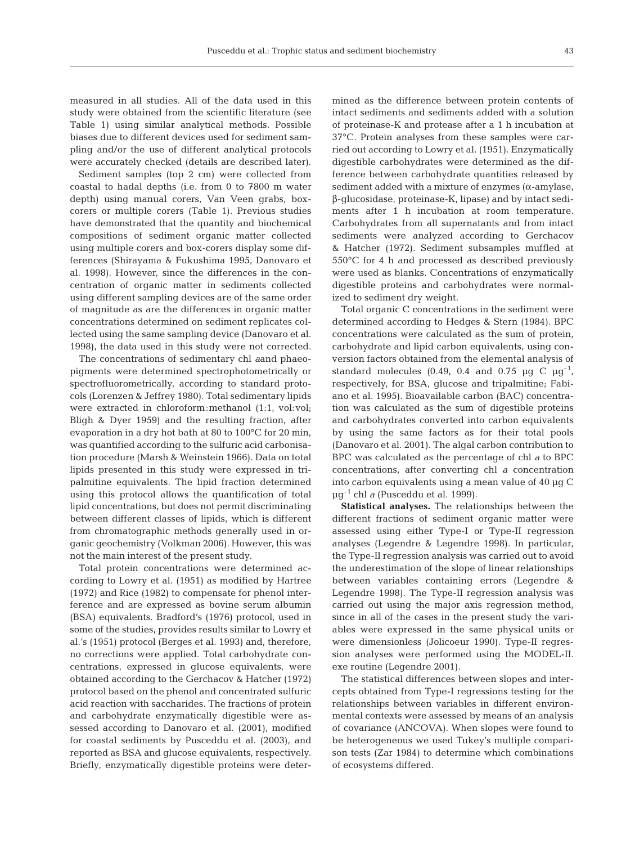measured in all studies. All of the data used in this study were obtained from the scientific literature (see Table 1) using similar analytical methods. Possible biases due to different devices used for sediment sampling and/or the use of different analytical protocols were accurately checked (details are described later).

Sediment samples (top 2 cm) were collected from coastal to hadal depths (i.e. from 0 to 7800 m water depth) using manual corers, Van Veen grabs, boxcorers or multiple corers (Table 1). Previous studies have demonstrated that the quantity and biochemical compositions of sediment organic matter collected using multiple corers and box-corers display some differences (Shirayama & Fukushima 1995, Danovaro et al. 1998). However, since the differences in the concentration of organic matter in sediments collected using different sampling devices are of the same order of magnitude as are the differences in organic matter concentrations determined on sediment replicates collected using the same sampling device (Danovaro et al. 1998), the data used in this study were not corrected.

The concentrations of sedimentary chl *a*and phaeopigments were determined spectrophotometrically or spectrofluorometrically, according to standard protocols (Lorenzen & Jeffrey 1980). Total sedimentary lipids were extracted in chloroform:methanol (1:1, vol:vol; Bligh & Dyer 1959) and the resulting fraction, after evaporation in a dry hot bath at 80 to 100°C for 20 min, was quantified according to the sulfuric acid carbonisation procedure (Marsh & Weinstein 1966). Data on total lipids presented in this study were expressed in tripalmitine equivalents. The lipid fraction determined using this protocol allows the quantification of total lipid concentrations, but does not permit discriminating between different classes of lipids, which is different from chromatographic methods generally used in organic geochemistry (Volkman 2006). However, this was not the main interest of the present study.

Total protein concentrations were determined according to Lowry et al. (1951) as modified by Hartree (1972) and Rice (1982) to compensate for phenol interference and are expressed as bovine serum albumin (BSA) equivalents. Bradford's (1976) protocol, used in some of the studies, provides results similar to Lowry et al.'s (1951) protocol (Berges et al. 1993) and, therefore, no corrections were applied. Total carbohydrate concentrations, expressed in glucose equivalents, were obtained according to the Gerchacov & Hatcher (1972) protocol based on the phenol and concentrated sulfuric acid reaction with saccharides. The fractions of protein and carbohydrate enzymatically digestible were assessed according to Danovaro et al. (2001), modified for coastal sediments by Pusceddu et al. (2003), and reported as BSA and glucose equivalents, respectively. Briefly, enzymatically digestible proteins were determined as the difference between protein contents of intact sediments and sediments added with a solution of proteinase-K and protease after a 1 h incubation at 37°C. Protein analyses from these samples were carried out according to Lowry et al. (1951). Enzymatically digestible carbohydrates were determined as the difference between carbohydrate quantities released by sediment added with a mixture of enzymes ( $\alpha$ -amylase, β-glucosidase, proteinase-K, lipase) and by intact sediments after 1 h incubation at room temperature. Carbohydrates from all supernatants and from intact sediments were analyzed according to Gerchacov & Hatcher (1972). Sediment subsamples muffled at 550°C for 4 h and processed as described previously were used as blanks. Concentrations of enzymatically digestible proteins and carbohydrates were normalized to sediment dry weight.

Total organic C concentrations in the sediment were determined according to Hedges & Stern (1984). BPC concentrations were calculated as the sum of protein, carbohydrate and lipid carbon equivalents, using conversion factors obtained from the elemental analysis of standard molecules (0.49, 0.4 and 0.75  $\mu$ g C  $\mu$ g<sup>-1</sup>, respectively, for BSA, glucose and tripalmitine; Fabiano et al. 1995). Bioavailable carbon (BAC) concentration was calculated as the sum of digestible proteins and carbohydrates converted into carbon equivalents by using the same factors as for their total pools (Danovaro et al. 2001). The algal carbon contribution to BPC was calculated as the percentage of chl *a* to BPC concentrations, after converting chl *a* concentration into carbon equivalents using a mean value of 40 µg C µg–1 chl *a* (Pusceddu et al. 1999).

**Statistical analyses.** The relationships between the different fractions of sediment organic matter were assessed using either Type-I or Type-II regression analyses (Legendre & Legendre 1998). In particular, the Type-II regression analysis was carried out to avoid the underestimation of the slope of linear relationships between variables containing errors (Legendre & Legendre 1998). The Type-II regression analysis was carried out using the major axis regression method, since in all of the cases in the present study the variables were expressed in the same physical units or were dimensionless (Jolicoeur 1990). Type-II regression analyses were performed using the MODEL-II. exe routine (Legendre 2001).

The statistical differences between slopes and intercepts obtained from Type-I regressions testing for the relationships between variables in different environmental contexts were assessed by means of an analysis of covariance (ANCOVA). When slopes were found to be heterogeneous we used Tukey's multiple comparison tests (Zar 1984) to determine which combinations of ecosystems differed.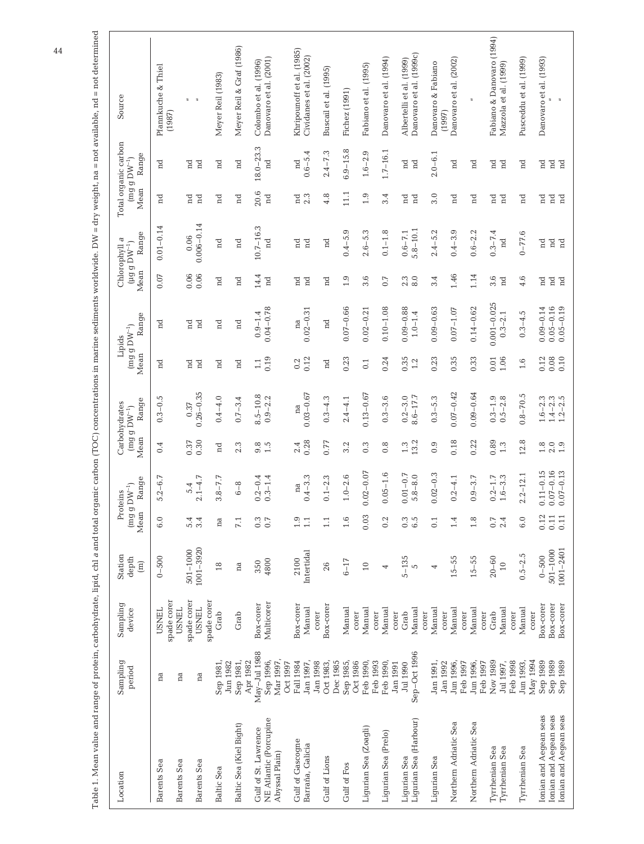| Source                                                   | Pfannkuche & Thiel<br>(1987) |              | $\overline{a}$                | Meyer Reil (1983)   | Meyer Reil & Graf (1986) | Colombo et al. (1996)    | Danovaro et al. (2001)                   |          | Khripounoff et al. (1985) | Cividanes et al. (2002) | Buscail et al. (1995) |          | Fichez (1991)         | Fabiano et al. (1995) |          | Danovaro et al. (1994) | Albertelli et al. (1999) | Danovaro et al. (1999c) |       | Danovaro & Fabiano<br>(1997) | Danovaro et al. (2002) |          | $\overline{a}$        | Fabiano & Danovaro (1994) | Mazzola et al. (1999) |          | Pusceddu et al. (1999)      |          | Danovaro et al. (1993)                    |                                | $\approx$              |
|----------------------------------------------------------|------------------------------|--------------|-------------------------------|---------------------|--------------------------|--------------------------|------------------------------------------|----------|---------------------------|-------------------------|-----------------------|----------|-----------------------|-----------------------|----------|------------------------|--------------------------|-------------------------|-------|------------------------------|------------------------|----------|-----------------------|---------------------------|-----------------------|----------|-----------------------------|----------|-------------------------------------------|--------------------------------|------------------------|
| Total organic carbon<br>Range<br>mg g $\mathrm{DW}^{-1}$ | $_{\rm nd}$                  |              | 'nd<br>$_{\rm nd}$            | $_{\rm nd}$         | $_{\rm nd}$              | $18.0 - 23.3$            | $_{\rm nd}$                              |          | $_{\rm nd}$               | $0.6 - 5.4$             | $2.4 - 7.3$           |          | $6.9 - 15.8$          | $1.6 - 2.9$           |          | $1.7 - 16.1$           | $_{\rm nd}$              | $_{\rm nd}$             |       | $2.0 - 6.1$                  | $_{\rm nd}$            |          | $_{\rm nd}$           | $_{\rm nd}$               | $_{\rm nd}$           |          | $_{\rm nd}$                 |          | d                                         | $_{\rm nd}$                    | $\mathbb{R}$           |
| Mean                                                     | 'n                           |              | 'nd<br>$_{\rm nd}$            | $_{\rm nd}$         | $_{\rm nd}$              | 20.6                     | $_{\rm nd}$                              |          | 2.3<br>$_{\rm nd}$        |                         | 4.8                   |          | 11.1                  | 1.9                   |          | 3.4                    | $_{\rm nd}$              | $_{\rm nd}$             |       | 3.0                          | $_{\rm nd}$            |          | $_{\rm nd}$           | $_{\rm nd}$               | $_{\rm nd}$           |          | $_{\rm nd}$                 |          | $_{\rm nd}$                               | $_{\rm nd}$                    | $\mathbb{R}$           |
| Range<br>Chlorophyll a<br>$($ µg g $DW^{-1}$             | $0.01 - 0.14$                |              | $0.006 - 0.14$<br>0.06        | $_{\rm nd}$         | $_{\rm nd}$              | $10.7 - 16.3$            | $_{\rm nd}$                              |          | $_{\rm nd}$               | $_{\rm nd}$             | $_{\rm nd}$           |          | $0.4 - 5.9$           | $2.6 - 5.3$           |          | $0.1 - 1.8$            | $0.6 - 7.1$              | $5.8 - 10.1$            |       | $2.4 - 5.2$                  | $0.4 - 3.9$            |          | $0.6 - 2.2$           | $0.3 - 7.4$               | nd                    |          | $0 - 77.6$                  |          | $_{\rm nd}$                               | $_{\rm nd}$                    | $_{\rm nd}$            |
| Mean                                                     | 0.07                         |              | 0.06<br>0.06                  | $_{\rm nd}$         | $_{\rm nd}$              | 14.4                     | $\rm ^n$                                 |          | $_{\rm nd}$               | $_{\rm nd}$             | $_{\rm nd}$           |          | 1.9                   | 3.6                   |          | 0.7                    | 2.3                      | 8.0                     |       | 3.4                          | 1.46                   |          | 1.14                  | 3.6                       | $\overline{a}$        |          | 4.6                         |          | $_{\rm nd}$                               | $_{\rm nd}$                    | nd                     |
| Range<br>$(\text{mg}~\text{g}~\text{DW}^{-1})$<br>Lipids | $_{\rm nd}$                  |              | $_{\rm nd}$<br>$\mathbb{R}^n$ | $_{\rm nd}$         | $_{\rm nd}$              | $0.9 - 1.4$              | $0.04 - 0.78$                            |          | na                        | $0.02 - 0.31$           | $_{\rm nd}$           |          | $0.07 - 0.66$         | $0.02 - 0.21$         |          | $0.10 - 1.08$          | $0.09 - 0.88$            | $1.0 - 1.4$             |       | $0.09 - 0.63$                | $0.07 - 1.07$          |          | $0.14 - 0.62$         | $0.001 - 0.025$           | $0.3 - 2.1$           |          | $0.3 - 4.5$                 |          | $0.09 - 0.14$                             | $0.05 - 0.16$                  | $0.05 - 0.19$          |
| Mean                                                     | $_{\rm nd}$                  |              | 'nd<br>$_{\rm nd}$            | $_{\rm nd}$         | nd                       | 1.1                      | 0.19                                     |          | 0.2                       | 0.12                    | $_{\rm nd}$           |          | 0.23                  | 0.1                   |          | 0.24                   | 0.35                     | 1.2                     |       | 0.23                         | 0.35                   |          | 0.33                  | 0.01                      | 1.06                  |          | 1.6                         |          | 0.12                                      | 0.08                           | 0.10                   |
| Range<br>$(mg g D W^{-1})$                               | $0.3 - 0.5$                  |              | $0.26 - 0.35$<br>0.37         | $0.4 - 4.0$         | $0.7 - 3.4$              | $8.5 - 10.8$             | $0.9 - 2.2$                              |          | na                        | $0.03 - 0.67$           | $0.3 - 4.3$           |          | $2.4 - 4.1$           | $0.13 - 0.67$         |          | $0.3 - 3.6$            | $0.2 - 3.0$              | $8.6 - 17.7$            |       | $0.3 - 5.3$                  | $0.07 - 0.42$          |          | $0.09 - 0.64$         | $0.3 - 1.9$               | $0.5 - 2.8$           |          | $0.8 - 70.5$                |          | $1.6 - 2.3$                               | $1.4 - 2.3$                    | $1.2 - 2.5$            |
| Carbohydrates<br>Mean                                    | 0.4                          |              | 0.30<br>0.37                  | $_{\rm nd}$         | 2.3                      | $9.\overline{5}$         |                                          |          | 2.4                       | 0.28                    | 0.77                  |          | 3.2                   | $0.\overline{3}$      |          | $0.\overline{8}$       | $1.\overline{3}$         | 13.2                    |       | 0.9                          | 0.18                   |          | 0.22                  | 0.89                      | 1.3                   |          | 12.8                        |          | $\frac{8}{1}$ $\frac{0}{1}$ $\frac{0}{1}$ |                                |                        |
| Range<br>$(\text{mg} \ g \ \text{DW}^{-1})$<br>Proteins  | $.2 - 6.7$<br>Ю              |              | $1 - 4.7$<br>5.4              | $-7.7$<br>m         | $6 - 8$                  | $.2 - 0.4$               | $.3 - 1.4$                               |          | na                        | $.4 - 3.3$              | $.1 - 2.3$            |          | $.0 - 2.6$            | $0.02 - 0.07$         |          | $0.05 - 1.6$           | $01 - 0.7$<br>0          | $.8 - 8.0$              |       | $02 - 0.3$<br>0              | $.2 - 4.1$             |          | $.9 - 3.7$            | $.2 - 1.7$                | $.6 - 3.3$            |          | $.2 - 12.1$<br>$\mathbf{C}$ |          | $0.11 - 0.15$                             | $0.07 - 0.16$<br>$0.07 - 0.13$ |                        |
| Mean                                                     | 6.0                          |              | 5.4<br>3.4                    | na                  | 7.1                      | $0.\overline{3}$         | 0.7                                      |          | 0.1                       | 1.1                     | 1.1                   |          | 1.6                   | 0.03                  |          | 0.2                    | 0.3                      | $6.\overline{5}$        |       | 0.1                          | 1.4                    |          | 1.8                   | 0.7                       | 2.4                   |          | 6.0                         |          | 0.12                                      | 0.11                           | 0.11                   |
| Station<br>depth<br>$\boxed{\text{m}}$                   | $0 - 500$                    |              | $1001 - 3920$<br>$501 - 1000$ | 18                  | na                       | 350                      | 4800                                     |          | 2100                      | Intertidal              | 26                    |          | $6 - 17$              | $10$                  |          | 4                      | $5 - 135$                | 5                       |       | 4                            | $15 - 55$              |          | $15 - 55$             | $20 - 60$                 | $\overline{10}$       |          | $0.5 - 2.5$                 |          | $0 - 500$                                 | $501 - 1000$                   | 1001-2401              |
| Sampling<br>device                                       | spade corer<br><b>USNEL</b>  | <b>USNEL</b> | spade corer<br><b>USNEL</b>   | spade corer<br>Grab | Grab                     | Box-corer                | Multicorer                               |          | Box-corer                 | Manual<br>corer         | Box-corer             |          | Manual<br>corer       | Manual                | corer    | Manual<br>corer        | Grab                     | Manual                  | corer | Manual<br>corer              | Manual                 | corer    | Manual                | Grab<br>corer             | Manual                | corer    | Manual                      | corer    | Box-corer                                 | Box-corer                      | Box-corer              |
| Sampling<br>period                                       | na                           | na           | na                            | Sep 1981,           | Sep 1981,<br>Jun 1982    | May-Jul 1988<br>Apr 1982 | Sep 1996,<br>Mar 1997,                   | Oct 1997 | Fall 1984                 | Jan 1997,<br>Jan 1998   | Oct 1983,             | Dec 1985 | Sep 1985,<br>Oct 1986 | Feb 1990,             | Feb 1993 | Feb 1990<br>Jan 1991   | Jul 1990                 | Sep-Oct 1996            |       | Jan 1991,<br>Jan 1992        | Jun 1996,              | Feb 1997 | Jun 1996,             | Nov 1989<br>Feb 1997      | Jul 1997,             | Feb 1998 | Jun 1993,                   | May 1994 | Sep 1989                                  | Sep 1989                       | Sep 1989               |
| Location                                                 | Barents Sea                  | Barents Sea  | Barents Sea                   | <b>Baltic Sea</b>   | Baltic Sea (Kiel Bight)  | Gulf of St. Lawrence     | NE Atlantic (Porcupine<br>Abyssal Plain) |          | Gulf of Gascogne          | Barraña, Galicia        | Gulf of Lions         |          | Gulf of Fos           | Ligurian Sea (Zoagli) |          | Ligurian Sea (Prelo)   | Ligurian Sea             | Ligurian Sea (Harbour)  |       | Ligurian Sea                 | Northern Adriatic Sea  |          | Northern Adriatic Sea | <b>Tyrrhenian Sea</b>     | Tyrrhenian Sea        |          | Tyrrhenian Sea              |          | Ionian and Aegean seas                    | Ionian and Aegean seas         | Ionian and Aegean seas |

Table 1. Mean value and range of protein, carbobydrate, lipid, chl a and total organic carbon (TOC) concentrations in marine sediments worldwide. DW = dry weight, na = not available, nd = not determined Table 1. Mean value and range of protein, carbohydrate, lipid, chl *a* and total organic carbon (TOC) concentrations in marine sediments worldwide. DW = dry weight, na = not available, nd = not determined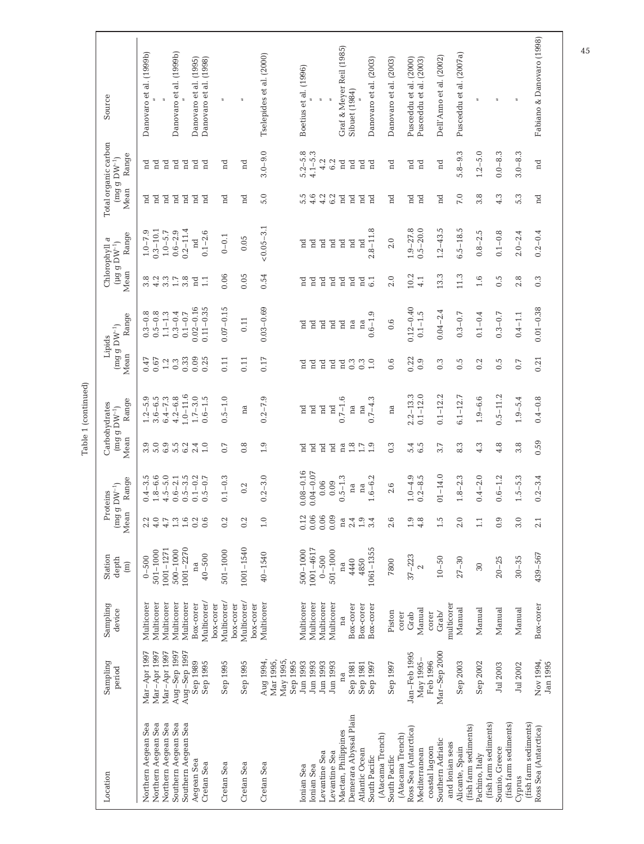| Sampling<br>period   | Sampling<br>device       | Station<br>depth<br>$\widehat{m}$ | Mean                                       | Range<br>$(\mathrm{mg}~\mathrm{g}~\mathrm{DW}^{-1})$<br>Proteins | Mean                       | Range<br>Carbohydrates<br>$(mg g D W^{-1})$ | Mean                       | Range<br>$(\text{mg}~\text{g}~\text{DW}^{-1})$<br>Lipids | Mean                       | Range<br>Chlorophyll a<br>(µg g $DW^{-1}$ ) | Mean                       | Total organic carbon<br>Range<br>$\left(\mathrm{m}\mathrm{g}\right.\mathrm{g}\mathrm{~D W^{-1}}\mathrm{)}$ | Source                                           |
|----------------------|--------------------------|-----------------------------------|--------------------------------------------|------------------------------------------------------------------|----------------------------|---------------------------------------------|----------------------------|----------------------------------------------------------|----------------------------|---------------------------------------------|----------------------------|------------------------------------------------------------------------------------------------------------|--------------------------------------------------|
| Mar-Apr 1997         | Multicorer               | $0 - 500$                         | $2.2$<br>4.0                               | $0.4 - 3.5$                                                      | 3.0                        | $1.2 - 5.9$<br>$3.6 - 6.5$                  | 0.47                       | $0.3 - 0.8$                                              | 8<br>3 4 3<br>3 4 3        | $1.0 - 7.9$                                 | $_{\rm nd}$                | F                                                                                                          | Danovaro et al. (1999b)                          |
| Mar-Apr 1997         | Multicorer               | $501 - 1000$                      |                                            | $1.8 - 6.6$                                                      |                            |                                             | 0.67                       | $0.5 - 0.8$                                              |                            | $0.3 - 10.1$                                | $_{\rm nd}$                | $\mathbb{R}^n$                                                                                             |                                                  |
| Mar-Apr 1997         | Multicorer               | 1001-1271                         | 4.7                                        | $4.5 - 5.0$                                                      | $6.9$<br>$5.5$             | $6.4 - 7.3$                                 | $1.2\,$                    | $1.1 - 1.3$                                              |                            | $1.0 - 5.7$                                 | $_{\rm nd}$                | $_{\rm nd}$                                                                                                |                                                  |
| Aug-Sep 1997         | Multicorer               | $500 - 1000$                      | $\begin{array}{c} 1.3 \\ -1.6 \end{array}$ | $0.6 - 2.1$                                                      |                            | $4.2 - 6.8$                                 | 0.3                        | $0.3 - 0.4$                                              | $1.7\,$                    | $0.6 - 2.9$                                 | $\overline{a}$             | $\overline{a}$                                                                                             | Danovaro et al. (1999b)                          |
| $Aug-Sep 1997$       | Multicorer               | 1001-2270                         |                                            | $0.5 - 3.5$                                                      | 6.2                        | $1.0 - 11.6$                                | 0.33                       | $0.1 - 0.7$                                              | 3.8                        | $0.2 - 11.4$                                | $_{\rm nd}$                | $_{\rm nd}$                                                                                                |                                                  |
| Sep 1989<br>Sep 1995 | Multicorer/<br>Box-corer | $40 - 500$<br>na                  | $0.\overline{0}$                           | $0.1 - 0.2$<br>$0.5 - 0.7$                                       | 1.0<br>2.4                 | $1.7 - 3.0$<br>$0.6 - 1.5$                  | 0.09<br>0.25               | $0.02 - 0.16$<br>$0.11 - 0.35$                           | $_{\rm nd}$<br>1.1         | $0.1 - 2.6$<br>nd                           | $_{\rm nd}$<br>$_{\rm nd}$ | $_{\rm nd}$<br>$\mathbb{R}^n$                                                                              | Danovaro et al. (1995)<br>Danovaro et al. (1998) |
|                      | box-corer                |                                   |                                            |                                                                  |                            |                                             |                            |                                                          |                            |                                             |                            |                                                                                                            | $\overline{a}$                                   |
| Sep 1995             | Multicorer/              | $501 - 1000$                      | 0.2                                        | $0.1 - 0.3$                                                      | 0.7                        | $0.5 - 1.0$                                 | 0.11                       | $0.07 - 0.15$                                            | 0.06                       | $0 - 0.1$                                   | $_{\rm nd}$                | $_{\rm nd}$                                                                                                |                                                  |
| Sep 1995             | Multicorer/<br>box-corer | 1001-1540                         | 0.2                                        | 0.2                                                              | $0.\overline{8}$           | na                                          | 0.11                       | 0.11                                                     | 0.05                       | 0.05                                        | nd                         | $_{\rm nd}$                                                                                                | $\equiv$                                         |
| Aug 1994,            | Multicorer<br>box-corer  | $40 - 1540$                       | $1.0\,$                                    | $0.2 - 3.0$                                                      | 1.9                        | $0.2 - 7.9$                                 | 0.17                       | $0.03 - 0.69$                                            | 0.54                       | $< 0.05 - 3.1$                              | 5.0                        | $3.0 - 9.0$                                                                                                | Tselepides et al. (2000)                         |
| Mar 1995,            |                          |                                   |                                            |                                                                  |                            |                                             |                            |                                                          |                            |                                             |                            |                                                                                                            |                                                  |
| May 1995,            |                          |                                   |                                            |                                                                  |                            |                                             |                            |                                                          |                            |                                             |                            |                                                                                                            |                                                  |
| Sep 1995             |                          |                                   |                                            |                                                                  |                            |                                             |                            |                                                          |                            |                                             |                            |                                                                                                            |                                                  |
| Jun 1993<br>Jun 1993 | Multicorer<br>Multicorer | 1001-4617<br>$500 - 1000$         | 0.12<br>0.06                               | $.08 - 0.16$<br>$-0.04 - 0.07$                                   | $_{\rm nd}$<br>$_{\rm nd}$ | $_{\rm nd}$<br>$_{\rm nd}$                  | $_{\rm nd}$<br>$_{\rm nd}$ | nd<br>$_{\rm nd}$                                        | $_{\rm nd}$<br>$_{\rm nd}$ | Pu<br>$_{\rm nd}$                           | $5.\overline{5}$<br>4.6    | $5.2 - 5.8$<br>4.1-5.3                                                                                     | Boetius et al. (1996)                            |
| Jun 1993             | Multicorer               | $0 - 500$                         | 0.06                                       | 0.06                                                             | $_{\rm nd}$                | $\rm _{nd}$                                 | $_{\rm nd}$                | $_{\rm nd}$                                              | $\overline{a}$             | $\mathbb{R}$                                | 4.2                        | 4.2                                                                                                        |                                                  |
| Jun 1993             | Multicorer               | $501 - 1000$                      | 0.09                                       | 0.09                                                             | $_{\rm nd}$                | $_{\rm nd}$                                 | $_{\rm nd}$                | $_{\rm nd}$                                              | $\mathbb{R}$               | $\mathbb{R}$                                | 6.2                        | 6.2                                                                                                        |                                                  |
| na                   | na                       | na                                | na                                         | $0.5 - 1.3$                                                      | $\mathbf{a}$               | $0.7 - 1.6$                                 | $_{\rm nd}$                | $_{\rm nd}$                                              | $\mathbb{R}$               | $_{\rm nd}$                                 | nd                         | $_{\rm nd}$                                                                                                | Graf & Meyer Reil (1985)                         |
| Sep 1981             | Box-corer                | 4440                              | 2.4                                        | na                                                               | $1.3$<br>$1.7$<br>$1.9$    | na                                          | 0.3                        | na                                                       | $\overline{a}$             | $\mathbb{R}$                                | $_{\rm nd}$                | nd                                                                                                         | Sibuet (1984)                                    |
| Sep 1981             | Box-corer                | 4850                              | 1.9                                        | na                                                               |                            | na                                          | 0.3                        | na                                                       | $_{\rm nd}$                | $_{\rm nd}$                                 | $_{\rm nd}$                | $_{\rm nd}$                                                                                                |                                                  |
| Sep 1997             | Box-corer                | 1061-1355                         | 3.4                                        | $1.6 - 6.2$                                                      |                            | $0.7 - 4.3$                                 | 1.0                        | $0.6 - 1.9$                                              |                            | $2.8 - 11.8$                                | $_{\rm nd}$                | $_{\rm nd}$                                                                                                | Danovaro et al. (2003)                           |
|                      |                          |                                   |                                            |                                                                  |                            |                                             |                            |                                                          |                            |                                             |                            |                                                                                                            |                                                  |
| Sep 1997             | Piston                   | 7800                              | 2.6                                        | 2.6                                                              | $0.\overline{3}$           | na                                          | 0.6                        | 0.6                                                      | 2.0                        | 2.0                                         | nd                         | $_{\rm nd}$                                                                                                | Danovaro et al. (2003)                           |
| Jan-Feb 1995         | corer<br>Grab            | $37 - 223$                        | 1.9                                        | $1.0 - 4.9$                                                      | 5.4                        | $2.2 - 13.3$                                | 0.22                       | $0.12 - 0.40$                                            | 10.2                       | $1.9 - 27.8$                                | $_{\rm nd}$                | $_{\rm nd}$                                                                                                | Pusceddu et al. (2000)                           |
| May 1995-            | Manual                   | $\sim$                            | 4.8                                        | $0.2 - 8.5$                                                      | 6.5                        | $0.1 - 12.0$                                | 0.9                        | $0.1 - 1.5$                                              | 4.1                        | $0.5 - 20.0$                                | $_{\rm nd}$                | $\overline{a}$                                                                                             | Pusceddu et al. (2003)                           |
| Feb 1996             | corer                    |                                   |                                            |                                                                  |                            |                                             |                            |                                                          |                            |                                             |                            |                                                                                                            |                                                  |
| Mar-Sep 2000         | Grab/                    | $10 - 50$                         | $1.\overline{5}$                           | $01 - 14.0$                                                      | 3.7                        | $0.1 - 12.2$                                | $0.\overline{3}$           | $0.04 - 2.4$                                             | 13.3                       | $1.2 - 43.5$                                | nd                         | nd                                                                                                         | Dell'Anno et al. (2002)                          |
|                      | multicorer               |                                   |                                            |                                                                  |                            |                                             |                            |                                                          |                            |                                             |                            |                                                                                                            |                                                  |
| Sep 2003             | Manual                   | $27 - 30$                         | 2.0                                        | $1.8 - 2.3$                                                      | 8.3                        | $6.1 - 12.7$                                | $0.\overline{5}$           | $0.3 - 0.7$                                              | 11.3                       | $6.5 - 18.5$                                | 7.0                        | $5.8 - 9.3$                                                                                                | Pusceddu et al. (2007a)                          |
|                      |                          |                                   |                                            |                                                                  |                            |                                             |                            |                                                          |                            |                                             |                            |                                                                                                            |                                                  |
| Sep 2002             | Manual                   | $30\,$                            | 1.1                                        | $0.4 - 2.0$                                                      | 4.3                        | $1.9 - 6.6$                                 | 0.2                        | $0.1 - 0.4$                                              | 1.6                        | $0.8 - 2.5$                                 | 3.8                        | $1.2 - 5.0$                                                                                                | $\overline{a}$                                   |
| Jul 2003             | Manual                   | $20 - 25$                         | 0.9                                        | $0.6 - 1.2$                                                      | 4.8                        | $0.5 - 11.2$                                | $0.\overline{5}$           | $0.3 - 0.7$                                              | 0.5                        | $0.1 - 0.8$                                 | 4.3                        | $0.0 - 8.3$                                                                                                | $\bar{z}$                                        |
|                      |                          |                                   |                                            |                                                                  |                            |                                             |                            |                                                          |                            |                                             |                            |                                                                                                            |                                                  |
| Jul 2002             | Manual                   | $30 - 35$                         | 3.0                                        | $1.5 - 5.3$                                                      | 3.8                        | $1.9 - 5.4$                                 | 0.7                        | $0.4 - 1.1$                                              | 2.8                        | $2.0 - 2.4$                                 | 5.3                        | $3.0 - 8.3$                                                                                                | $\overline{a}$                                   |
| Nov 1994,            | Box-corer                | 439-567                           | 2.1                                        | $0.2 - 3.4$                                                      | 0.59                       | $0.4 - 0.8$                                 | 0.21                       | $0.01 - 0.38$                                            | $0.\overline{3}$           | $0.2 - 0.4$                                 | nd                         | $_{\rm nd}$                                                                                                | Fabiano & Danovaro (1998)                        |
| Jan 1995             |                          |                                   |                                            |                                                                  |                            |                                             |                            |                                                          |                            |                                             |                            |                                                                                                            |                                                  |

Table 1 (continued) Table 1 (continued)

45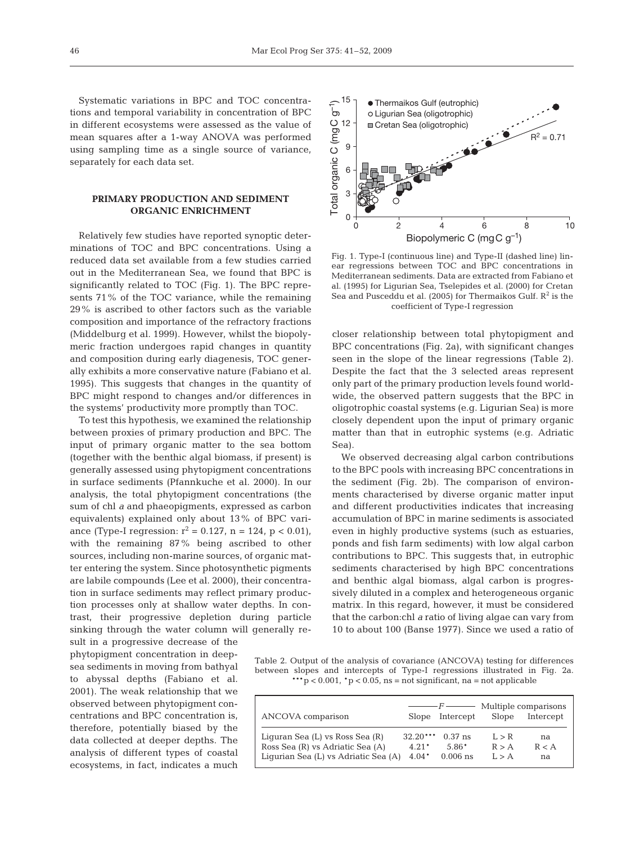Systematic variations in BPC and TOC concentrations and temporal variability in concentration of BPC in different ecosystems were assessed as the value of mean squares after a 1-way ANOVA was performed using sampling time as a single source of variance, separately for each data set.

# **PRIMARY PRODUCTION AND SEDIMENT ORGANIC ENRICHMENT**

Relatively few studies have reported synoptic determinations of TOC and BPC concentrations. Using a reduced data set available from a few studies carried out in the Mediterranean Sea, we found that BPC is significantly related to TOC (Fig. 1). The BPC represents 71% of the TOC variance, while the remaining 29% is ascribed to other factors such as the variable composition and importance of the refractory fractions (Middelburg et al. 1999). However, whilst the biopolymeric fraction undergoes rapid changes in quantity and composition during early diagenesis, TOC generally exhibits a more conservative nature (Fabiano et al. 1995). This suggests that changes in the quantity of BPC might respond to changes and/or differences in the systems' productivity more promptly than TOC.

To test this hypothesis, we examined the relationship between proxies of primary production and BPC. The input of primary organic matter to the sea bottom (together with the benthic algal biomass, if present) is generally assessed using phytopigment concentrations in surface sediments (Pfannkuche et al. 2000). In our analysis, the total phytopigment concentrations (the sum of chl *a* and phaeopigments, expressed as carbon equivalents) explained only about 13% of BPC variance (Type-I regression:  $r^2 = 0.127$ , n = 124, p < 0.01), with the remaining 87% being ascribed to other sources, including non-marine sources, of organic matter entering the system. Since photosynthetic pigments are labile compounds (Lee et al. 2000), their concentration in surface sediments may reflect primary production processes only at shallow water depths. In contrast, their progressive depletion during particle sinking through the water column will generally re-

sult in a progressive decrease of the phytopigment concentration in deepsea sediments in moving from bathyal to abyssal depths (Fabiano et al. 2001). The weak relationship that we observed between phytopigment concentrations and BPC concentration is, therefore, potentially biased by the data collected at deeper depths. The analysis of different types of coastal ecosystems, in fact, indicates a much



Fig. 1. Type-I (continuous line) and Type-II (dashed line) linear regressions between TOC and BPC concentrations in Mediterranean sediments. Data are extracted from Fabiano et al. (1995) for Ligurian Sea, Tselepides et al. (2000) for Cretan Sea and Pusceddu et al. (2005) for Thermaikos Gulf.  $\mathbb{R}^2$  is the coefficient of Type-I regression

closer relationship between total phytopigment and BPC concentrations (Fig. 2a), with significant changes seen in the slope of the linear regressions (Table 2). Despite the fact that the 3 selected areas represent only part of the primary production levels found worldwide, the observed pattern suggests that the BPC in oligotrophic coastal systems (e.g. Ligurian Sea) is more closely dependent upon the input of primary organic matter than that in eutrophic systems (e.g. Adriatic Sea).

We observed decreasing algal carbon contributions to the BPC pools with increasing BPC concentrations in the sediment (Fig. 2b). The comparison of environments characterised by diverse organic matter input and different productivities indicates that increasing accumulation of BPC in marine sediments is associated even in highly productive systems (such as estuaries, ponds and fish farm sediments) with low algal carbon contributions to BPC. This suggests that, in eutrophic sediments characterised by high BPC concentrations and benthic algal biomass, algal carbon is progressively diluted in a complex and heterogeneous organic matrix. In this regard, however, it must be considered that the carbon:chl *a* ratio of living algae can vary from 10 to about 100 (Banse 1977). Since we used a ratio of

Table 2. Output of the analysis of covariance (ANCOVA) testing for differences between slopes and intercepts of Type-I regressions illustrated in Fig. 2a. \*\*\*p < 0.001,  $p$  < 0.05, ns = not significant, na = not applicable

| ANCOVA comparison                    |            | $-F$ ——<br>Slope Intercept | Slope             | Multiple comparisons<br>Intercept |
|--------------------------------------|------------|----------------------------|-------------------|-----------------------------------|
|                                      |            |                            |                   |                                   |
| Liguran Sea (L) vs Ross Sea (R)      | $32.20***$ | $0.37$ ns                  | $I_{\cdot} > R$   | na                                |
| Ross Sea (R) vs Adriatic Sea (A)     | $4.21*$    | $5.86*$                    | R > A             | R < A                             |
| Liqurian Sea (L) vs Adriatic Sea (A) | $4.04*$    | $0.006$ ns                 | $I \rightarrow A$ | na                                |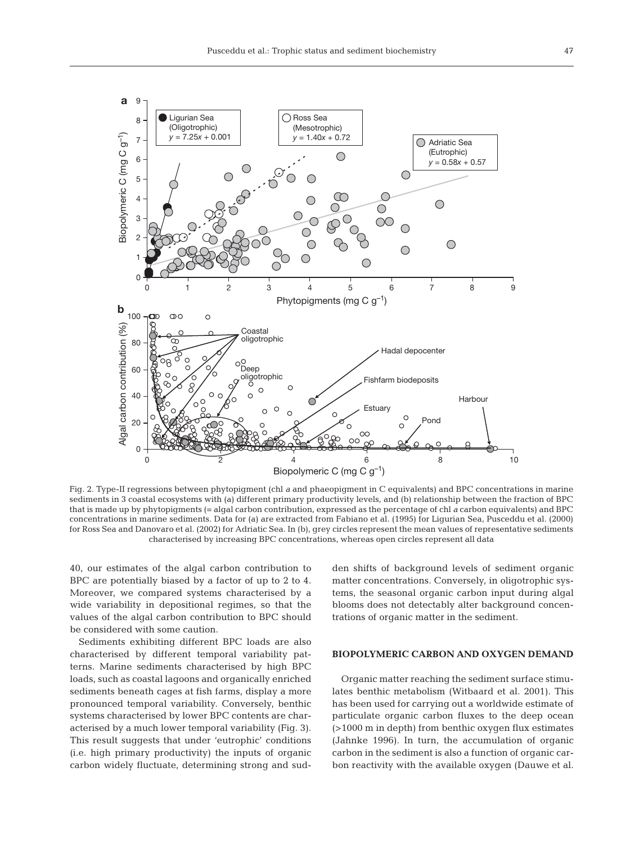

Fig. 2. Type-II regressions between phytopigment (chl *a* and phaeopigment in C equivalents) and BPC concentrations in marine sediments in 3 coastal ecosystems with (a) different primary productivity levels, and (b) relationship between the fraction of BPC that is made up by phytopigments (= algal carbon contribution, expressed as the percentage of chl *a* carbon equivalents) and BPC concentrations in marine sediments. Data for (a) are extracted from Fabiano et al. (1995) for Ligurian Sea, Pusceddu et al. (2000) for Ross Sea and Danovaro et al. (2002) for Adriatic Sea. In (b), grey circles represent the mean values of representative sediments characterised by increasing BPC concentrations, whereas open circles represent all data

40, our estimates of the algal carbon contribution to BPC are potentially biased by a factor of up to 2 to 4. Moreover, we compared systems characterised by a wide variability in depositional regimes, so that the values of the algal carbon contribution to BPC should be considered with some caution.

Sediments exhibiting different BPC loads are also characterised by different temporal variability patterns. Marine sediments characterised by high BPC loads, such as coastal lagoons and organically enriched sediments beneath cages at fish farms, display a more pronounced temporal variability. Conversely, benthic systems characterised by lower BPC contents are characterised by a much lower temporal variability (Fig. 3). This result suggests that under 'eutrophic' conditions (i.e. high primary productivity) the inputs of organic carbon widely fluctuate, determining strong and sudden shifts of background levels of sediment organic matter concentrations. Conversely, in oligotrophic systems, the seasonal organic carbon input during algal blooms does not detectably alter background concentrations of organic matter in the sediment.

### **BIOPOLYMERIC CARBON AND OXYGEN DEMAND**

Organic matter reaching the sediment surface stimulates benthic metabolism (Witbaard et al. 2001). This has been used for carrying out a worldwide estimate of particulate organic carbon fluxes to the deep ocean (>1000 m in depth) from benthic oxygen flux estimates (Jahnke 1996). In turn, the accumulation of organic carbon in the sediment is also a function of organic carbon reactivity with the available oxygen (Dauwe et al.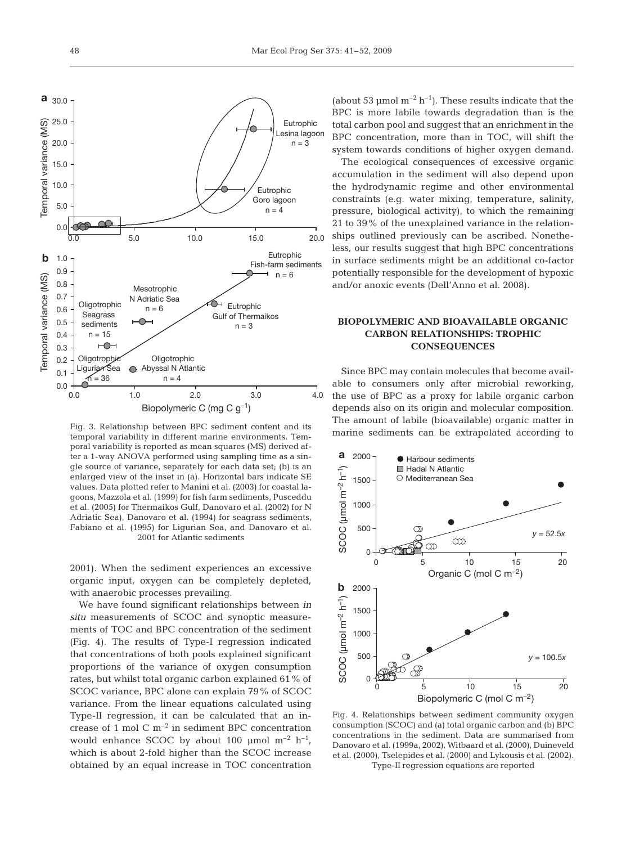

Fig. 3. Relationship between BPC sediment content and its temporal variability in different marine environments. Temporal variability is reported as mean squares (MS) derived after a 1-way ANOVA performed using sampling time as a single source of variance, separately for each data set; (b) is an enlarged view of the inset in (a). Horizontal bars indicate SE values. Data plotted refer to Manini et al. (2003) for coastal lagoons, Mazzola et al. (1999) for fish farm sediments, Pusceddu et al. (2005) for Thermaikos Gulf, Danovaro et al. (2002) for N Adriatic Sea), Danovaro et al. (1994) for seagrass sediments, Fabiano et al. (1995) for Ligurian Sea, and Danovaro et al.

2001). When the sediment experiences an excessive organic input, oxygen can be completely depleted, with anaerobic processes prevailing.

We have found significant relationships between *in situ* measurements of SCOC and synoptic measurements of TOC and BPC concentration of the sediment (Fig. 4). The results of Type-I regression indicated that concentrations of both pools explained significant proportions of the variance of oxygen consumption rates, but whilst total organic carbon explained 61% of SCOC variance, BPC alone can explain 79% of SCOC variance. From the linear equations calculated using Type-II regression, it can be calculated that an increase of 1 mol  $C m^{-2}$  in sediment BPC concentration would enhance SCOC by about 100  $\mu$ mol m<sup>-2</sup> h<sup>-1</sup>, which is about 2-fold higher than the SCOC increase obtained by an equal increase in TOC concentration (about 53 µmol  $m^{-2}$  h<sup>-1</sup>). These results indicate that the BPC is more labile towards degradation than is the total carbon pool and suggest that an enrichment in the BPC concentration, more than in TOC, will shift the system towards conditions of higher oxygen demand.

The ecological consequences of excessive organic accumulation in the sediment will also depend upon the hydrodynamic regime and other environmental constraints (e.g. water mixing, temperature, salinity, pressure, biological activity), to which the remaining 21 to 39% of the unexplained variance in the relationships outlined previously can be ascribed. Nonetheless, our results suggest that high BPC concentrations in surface sediments might be an additional co-factor potentially responsible for the development of hypoxic and/or anoxic events (Dell'Anno et al. 2008).

# **BIOPOLYMERIC AND BIOAVAILABLE ORGANIC CARBON RELATIONSHIPS: TROPHIC CONSEQUENCES**

Since BPC may contain molecules that become available to consumers only after microbial reworking, the use of BPC as a proxy for labile organic carbon depends also on its origin and molecular composition. The amount of labile (bioavailable) organic matter in marine sediments can be extrapolated according to



Fig. 4. Relationships between sediment community oxygen consumption (SCOC) and (a) total organic carbon and (b) BPC concentrations in the sediment. Data are summarised from Danovaro et al. (1999a, 2002), Witbaard et al. (2000), Duineveld et al. (2000), Tselepides et al. (2000) and Lykousis et al. (2002). Type-II regression equations are reported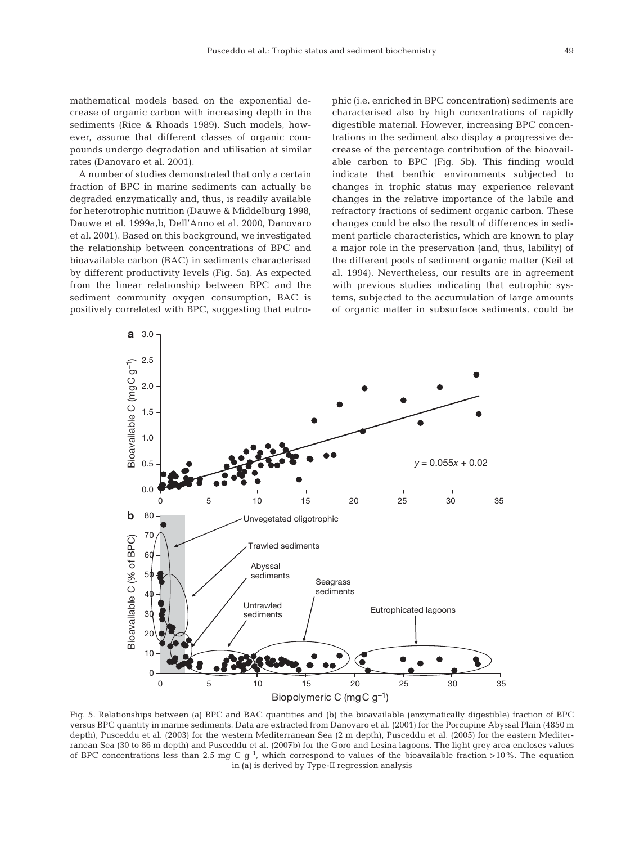mathematical models based on the exponential decrease of organic carbon with increasing depth in the sediments (Rice & Rhoads 1989). Such models, however, assume that different classes of organic compounds undergo degradation and utilisation at similar rates (Danovaro et al. 2001).

A number of studies demonstrated that only a certain fraction of BPC in marine sediments can actually be degraded enzymatically and, thus, is readily available for heterotrophic nutrition (Dauwe & Middelburg 1998, Dauwe et al. 1999a,b, Dell'Anno et al. 2000, Danovaro et al. 2001). Based on this background, we investigated the relationship between concentrations of BPC and bioavailable carbon (BAC) in sediments characterised by different productivity levels (Fig. 5a). As expected from the linear relationship between BPC and the sediment community oxygen consumption, BAC is positively correlated with BPC, suggesting that eutrophic (i.e. enriched in BPC concentration) sediments are characterised also by high concentrations of rapidly digestible material. However, increasing BPC concentrations in the sediment also display a progressive decrease of the percentage contribution of the bioavailable carbon to BPC (Fig. 5b). This finding would indicate that benthic environments subjected to changes in trophic status may experience relevant changes in the relative importance of the labile and refractory fractions of sediment organic carbon. These changes could be also the result of differences in sediment particle characteristics, which are known to play a major role in the preservation (and, thus, lability) of the different pools of sediment organic matter (Keil et al. 1994). Nevertheless, our results are in agreement with previous studies indicating that eutrophic systems, subjected to the accumulation of large amounts of organic matter in subsurface sediments, could be



Fig. 5. Relationships between (a) BPC and BAC quantities and (b) the bioavailable (enzymatically digestible) fraction of BPC versus BPC quantity in marine sediments. Data are extracted from Danovaro et al. (2001) for the Porcupine Abyssal Plain (4850 m depth), Pusceddu et al. (2003) for the western Mediterranean Sea (2 m depth), Pusceddu et al. (2005) for the eastern Mediterranean Sea (30 to 86 m depth) and Pusceddu et al. (2007b) for the Goro and Lesina lagoons. The light grey area encloses values of BPC concentrations less than 2.5 mg C  $g^{-1}$ , which correspond to values of the bioavailable fraction >10%. The equation in (a) is derived by Type-II regression analysis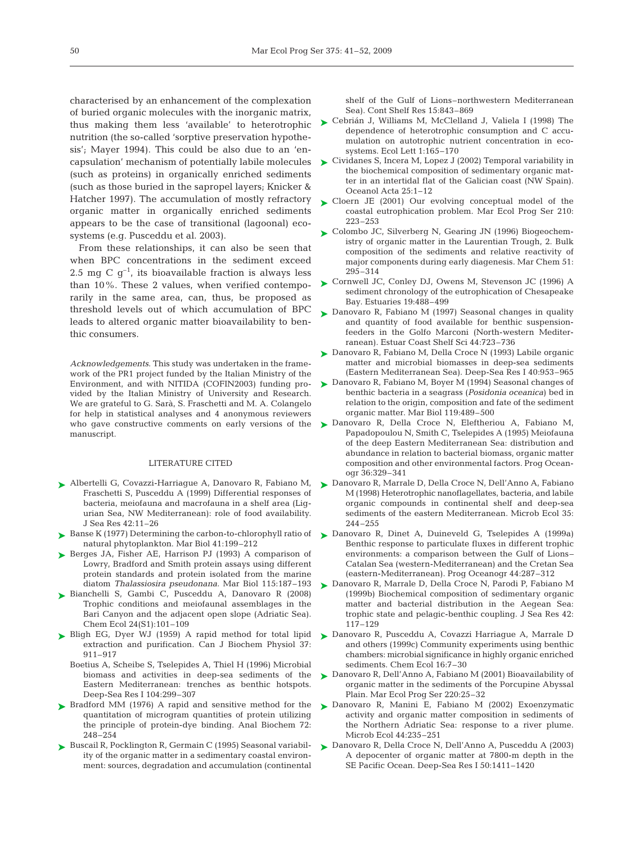characterised by an enhancement of the complexation of buried organic molecules with the inorganic matrix, thus making them less 'available' to heterotrophic nutrition (the so-called 'sorptive preservation hypothesis'; Mayer 1994). This could be also due to an 'encapsulation' mechanism of potentially labile molecules (such as proteins) in organically enriched sediments (such as those buried in the sapropel layers; Knicker & Hatcher 1997). The accumulation of mostly refractory organic matter in organically enriched sediments appears to be the case of transitional (lagoonal) ecosystems (e.g. Pusceddu et al. 2003).

From these relationships, it can also be seen that when BPC concentrations in the sediment exceed 2.5 mg C  $q^{-1}$ , its bioavailable fraction is always less than 10%. These 2 values, when verified contemporarily in the same area, can, thus, be proposed as threshold levels out of which accumulation of BPC leads to altered organic matter bioavailability to benthic consumers.

*Acknowledgements*. This study was undertaken in the framework of the PR1 project funded by the Italian Ministry of the Environment, and with NITIDA (COFIN2003) funding provided by the Italian Ministry of University and Research. We are grateful to G. Sarà, S. Fraschetti and M. A. Colangelo for help in statistical analyses and 4 anonymous reviewers who gave constructive comments on early versions of the manuscript.

#### LITERATURE CITED

- ► Albertelli G, Covazzi-Harriague A, Danovaro R, Fabiano M, Fraschetti S, Pusceddu A (1999) Differential responses of bacteria, meiofauna and macrofauna in a shelf area (Ligurian Sea, NW Mediterranean): role of food availability. J Sea Res 42:11–26
- ► Banse K (1977) Determining the carbon-to-chlorophyll ratio of natural phytoplankton. Mar Biol 41:199–212
- ▶ Berges JA, Fisher AE, Harrison PJ (1993) A comparison of Lowry, Bradford and Smith protein assays using different protein standards and protein isolated from the marine diatom *Thalassiosira pseudonana.* Mar Biol 115:187–193
- Bianchelli S, Gambi C, Pusceddu A, Danovaro R (2008) ➤ Trophic conditions and meiofaunal assemblages in the Bari Canyon and the adjacent open slope (Adriatic Sea). Chem Ecol 24(S1):101–109
- ► Bligh EG, Dyer WJ (1959) A rapid method for total lipid extraction and purification. Can J Biochem Physiol 37: 911–917
	- Boetius A, Scheibe S, Tselepides A, Thiel H (1996) Microbial biomass and activities in deep-sea sediments of the Eastern Mediterranean: trenches as benthic hotspots. Deep-Sea Res I 104:299–307
- ▶ Bradford MM (1976) A rapid and sensitive method for the quantitation of microgram quantities of protein utilizing the principle of protein-dye binding. Anal Biochem 72: 248–254
- ► Buscail R, Pocklington R, Germain C (1995) Seasonal variability of the organic matter in a sedimentary coastal environment: sources, degradation and accumulation (continental

shelf of the Gulf of Lions–northwestern Mediterranean Sea). Cont Shelf Res 15:843–869

- ► Cebrián J, Williams M, McClelland J, Valiela I (1998) The dependence of heterotrophic consumption and C accumulation on autotrophic nutrient concentration in ecosystems. Ecol Lett 1:165–170
- ► Cividanes S, Incera M, Lopez J (2002) Temporal variability in the biochemical composition of sedimentary organic matter in an intertidal flat of the Galician coast (NW Spain). Oceanol Acta 25:1–12
- ► Cloern JE (2001) Our evolving conceptual model of the coastal eutrophication problem. Mar Ecol Prog Ser 210: 223–253
- ► Colombo JC, Silverberg N, Gearing JN (1996) Biogeochemistry of organic matter in the Laurentian Trough, 2. Bulk composition of the sediments and relative reactivity of major components during early diagenesis. Mar Chem 51: 295–314
- ► Cornwell JC, Conley DJ, Owens M, Stevenson JC (1996) A sediment chronology of the eutrophication of Chesapeake Bay. Estuaries 19:488–499
- ► Danovaro R, Fabiano M (1997) Seasonal changes in quality and quantity of food available for benthic suspensionfeeders in the Golfo Marconi (North-western Mediterranean). Estuar Coast Shelf Sci 44:723–736
- ► Danovaro R, Fabiano M, Della Croce N (1993) Labile organic matter and microbial biomasses in deep-sea sediments (Eastern Mediterranean Sea). Deep-Sea Res I 40:953–965
- ► Danovaro R, Fabiano M, Boyer M (1994) Seasonal changes of benthic bacteria in a seagrass (*Posidonia oceanica*) bed in relation to the origin, composition and fate of the sediment organic matter. Mar Biol 119:489–500
- ► Danovaro R, Della Croce N, Eleftheriou A, Fabiano M, Papadopoulou N, Smith C, Tselepides A (1995) Meiofauna of the deep Eastern Mediterranean Sea: distribution and abundance in relation to bacterial biomass, organic matter composition and other environmental factors. Prog Oceanogr 36:329–341
- ► Danovaro R, Marrale D, Della Croce N, Dell'Anno A, Fabiano M (1998) Heterotrophic nanoflagellates, bacteria, and labile organic compounds in continental shelf and deep-sea sediments of the eastern Mediterranean. Microb Ecol 35: 244–255
- ▶ Danovaro R, Dinet A, Duineveld G, Tselepides A (1999a) Benthic response to particulate fluxes in different trophic environments: a comparison between the Gulf of Lions– Catalan Sea (western-Mediterranean) and the Cretan Sea (eastern-Mediterranean). Prog Oceanogr 44:287–312
- ► Danovaro R, Marrale D, Della Croce N, Parodi P, Fabiano M (1999b) Biochemical composition of sedimentary organic matter and bacterial distribution in the Aegean Sea: trophic state and pelagic-benthic coupling. J Sea Res 42: 117–129
- Danovaro R, Pusceddu A, Covazzi Harriague A, Marrale D ➤ and others (1999c) Community experiments using benthic chambers: microbial significance in highly organic enriched sediments. Chem Ecol 16:7–30
- ▶ Danovaro R, Dell'Anno A, Fabiano M (2001) Bioavailability of organic matter in the sediments of the Porcupine Abyssal Plain. Mar Ecol Prog Ser 220:25–32
- ▶ Danovaro R, Manini E, Fabiano M (2002) Exoenzymatic activity and organic matter composition in sediments of the Northern Adriatic Sea: response to a river plume. Microb Ecol 44:235–251
- Danovaro R, Della Croce N, Dell'Anno A, Pusceddu A (2003) ➤A depocenter of organic matter at 7800-m depth in the SE Pacific Ocean. Deep-Sea Res I 50:1411–1420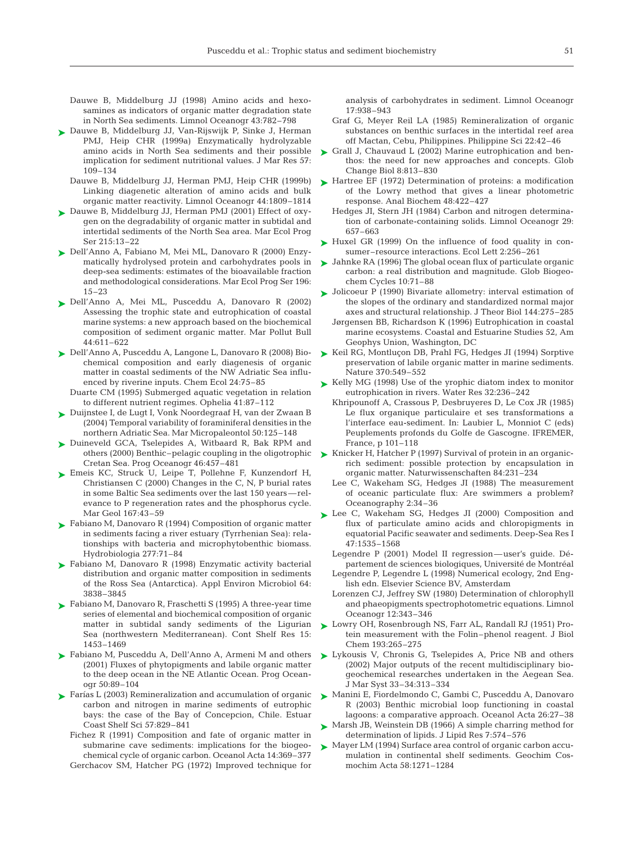Dauwe B, Middelburg JJ (1998) Amino acids and hexosamines as indicators of organic matter degradation state in North Sea sediments. Limnol Oceanogr 43:782–798

- ► Dauwe B, Middelburg JJ, Van-Rijswijk P, Sinke J, Herman PMJ, Heip CHR (1999a) Enzymatically hydrolyzable amino acids in North Sea sediments and their possible implication for sediment nutritional values. J Mar Res 57: 109–134
	- Dauwe B, Middelburg JJ, Herman PMJ, Heip CHR (1999b) Linking diagenetic alteration of amino acids and bulk organic matter reactivity. Limnol Oceanogr 44:1809–1814
- ► Dauwe B, Middelburg JJ, Herman PMJ (2001) Effect of oxygen on the degradability of organic matter in subtidal and intertidal sediments of the North Sea area. Mar Ecol Prog Ser 215:13–22
- Dell'Anno A, Fabiano M, Mei ML, Danovaro R (2000) Enzy-➤ matically hydrolysed protein and carbohydrates pools in deep-sea sediments: estimates of the bioavailable fraction and methodological considerations. Mar Ecol Prog Ser 196: 15–23
- Dell'Anno A, Mei ML, Pusceddu A, Danovaro R (2002) ➤ Assessing the trophic state and eutrophication of coastal marine systems: a new approach based on the biochemical composition of sediment organic matter. Mar Pollut Bull 44:611–622
- Dell'Anno A, Pusceddu A, Langone L, Danovaro R (2008) Bio-➤ chemical composition and early diagenesis of organic matter in coastal sediments of the NW Adriatic Sea influenced by riverine inputs. Chem Ecol 24:75–85
	- Duarte CM (1995) Submerged aquatic vegetation in relation to different nutrient regimes. Ophelia 41:87–112
- Duijnstee I, de Lugt I, Vonk Noordegraaf H, van der Zwaan B ➤ (2004) Temporal variability of foraminiferal densities in the northern Adriatic Sea. Mar Micropaleontol 50:125–148
- ► Duineveld GCA, Tselepides A, Witbaard R, Bak RPM and others (2000) Benthic–pelagic coupling in the oligotrophic Cretan Sea. Prog Oceanogr 46:457–481
- Emeis KC, Struck U, Leipe T, Pollehne F, Kunzendorf H, ➤ Christiansen C (2000) Changes in the C, N, P burial rates in some Baltic Sea sediments over the last 150 years—relevance to P regeneration rates and the phosphorus cycle. Mar Geol 167:43–59
- ► Fabiano M, Danovaro R (1994) Composition of organic matter in sediments facing a river estuary (Tyrrhenian Sea): relationships with bacteria and microphytobenthic biomass. Hydrobiologia 277:71–84
- ► Fabiano M, Danovaro R (1998) Enzymatic activity bacterial distribution and organic matter composition in sediments of the Ross Sea (Antarctica). Appl Environ Microbiol 64: 3838–3845
- ► Fabiano M, Danovaro R, Fraschetti S (1995) A three-year time series of elemental and biochemical composition of organic matter in subtidal sandy sediments of the Ligurian Sea (northwestern Mediterranean). Cont Shelf Res 15: 1453–1469
- ► Fabiano M, Pusceddu A, Dell'Anno A, Armeni M and others (2001) Fluxes of phytopigments and labile organic matter to the deep ocean in the NE Atlantic Ocean. Prog Oceanogr 50:89–104
- ► Farías L (2003) Remineralization and accumulation of organic carbon and nitrogen in marine sediments of eutrophic bays: the case of the Bay of Concepcion, Chile. Estuar Coast Shelf Sci 57:829–841
	- Fichez R (1991) Composition and fate of organic matter in submarine cave sediments: implications for the biogeochemical cycle of organic carbon. Oceanol Acta 14:369–377 Gerchacov SM, Hatcher PG (1972) Improved technique for

analysis of carbohydrates in sediment. Limnol Oceanogr 17:938–943

- Graf G, Meyer Reil LA (1985) Remineralization of organic substances on benthic surfaces in the intertidal reef area off Mactan, Cebu, Philippines. Philippine Sci 22:42–46
- ► Grall J, Chauvaud L (2002) Marine eutrophication and benthos: the need for new approaches and concepts. Glob Change Biol 8:813–830
- ► Hartree EF (1972) Determination of proteins: a modification of the Lowry method that gives a linear photometric response. Anal Biochem 48:422–427
	- Hedges JI, Stern JH (1984) Carbon and nitrogen determination of carbonate-containing solids. Limnol Oceanogr 29: 657–663
- ► Huxel GR (1999) On the influence of food quality in consumer–resource interactions. Ecol Lett 2:256–261
- ► Jahnke RA (1996) The global ocean flux of particulate organic carbon: a real distribution and magnitude. Glob Biogeochem Cycles 10:71–88
- ► Jolicoeur P (1990) Bivariate allometry: interval estimation of the slopes of the ordinary and standardized normal major axes and structural relationship. J Theor Biol 144:275–285
	- Jørgensen BB, Richardson K (1996) Eutrophication in coastal marine ecosystems. Coastal and Estuarine Studies 52, Am Geophys Union, Washington, DC
- ► Keil RG, Montluçon DB, Prahl FG, Hedges JI (1994) Sorptive preservation of labile organic matter in marine sediments. Nature 370:549–552
- ► Kelly MG (1998) Use of the yrophic diatom index to monitor eutrophication in rivers. Water Res 32:236–242
	- Khripounoff A, Crassous P, Desbruyeres D, Le Cox JR (1985) Le flux organique particulaire et ses transformations a l'interface eau-sediment. In: Laubier L, Monniot C (eds) Peuplements profonds du Golfe de Gascogne. IFREMER, France, p 101–118
- ► Knicker H, Hatcher P (1997) Survival of protein in an organicrich sediment: possible protection by encapsulation in organic matter. Naturwissenschaften 84:231–234
	- Lee C, Wakeham SG, Hedges JI (1988) The measurement of oceanic particulate flux: Are swimmers a problem? Oceanography 2:34–36
- ► Lee C, Wakeham SG, Hedges JI (2000) Composition and flux of particulate amino acids and chloropigments in equatorial Pacific seawater and sediments. Deep-Sea Res I 47:1535–1568
	- Legendre P (2001) Model II regression—user's guide. Département de sciences biologiques, Université de Montréal Legendre P, Legendre L (1998) Numerical ecology, 2nd Eng-
	- lish edn. Elsevier Science BV, Amsterdam
	- Lorenzen CJ, Jeffrey SW (1980) Determination of chlorophyll and phaeopigments spectrophotometric equations. Limnol Oceanogr 12:343–346
- ► Lowry OH, Rosenbrough NS, Farr AL, Randall RJ (1951) Protein measurement with the Folin–phenol reagent. J Biol Chem 193:265–275
- ► Lykousis V, Chronis G, Tselepides A, Price NB and others (2002) Major outputs of the recent multidisciplinary biogeochemical researches undertaken in the Aegean Sea. J Mar Syst 33–34:313–334
- ► Manini E, Fiordelmondo C, Gambi C, Pusceddu A, Danovaro R (2003) Benthic microbial loop functioning in coastal lagoons: a comparative approach. Oceanol Acta 26:27–38
- ► Marsh JB, Weinstein DB (1966) A simple charring method for determination of lipids. J Lipid Res 7:574–576
- ► Mayer LM (1994) Surface area control of organic carbon accumulation in continental shelf sediments. Geochim Cosmochim Acta 58:1271–1284